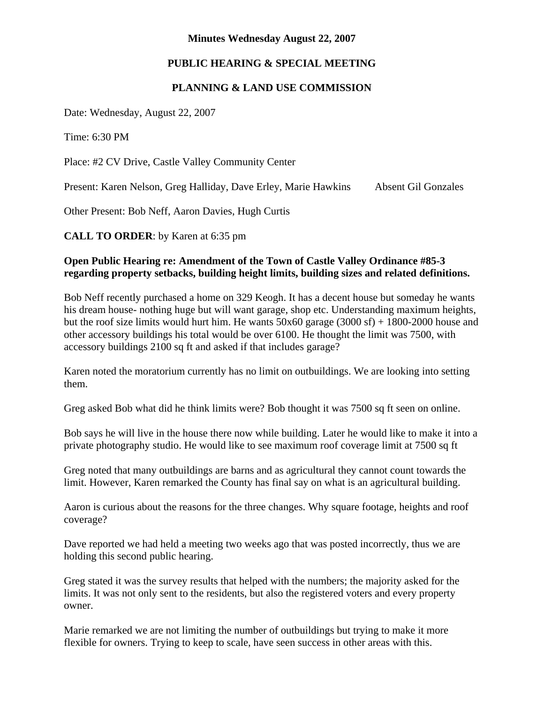#### **Minutes Wednesday August 22, 2007**

# **PUBLIC HEARING & SPECIAL MEETING**

## **PLANNING & LAND USE COMMISSION**

Date: Wednesday, August 22, 2007

Time: 6:30 PM

Place: #2 CV Drive, Castle Valley Community Center

Present: Karen Nelson, Greg Halliday, Dave Erley, Marie Hawkins Absent Gil Gonzales

Other Present: Bob Neff, Aaron Davies, Hugh Curtis

**CALL TO ORDER**: by Karen at 6:35 pm

## **Open Public Hearing re: Amendment of the Town of Castle Valley Ordinance #85-3 regarding property setbacks, building height limits, building sizes and related definitions.**

Bob Neff recently purchased a home on 329 Keogh. It has a decent house but someday he wants his dream house- nothing huge but will want garage, shop etc. Understanding maximum heights, but the roof size limits would hurt him. He wants  $50x60$  garage  $(3000 \text{ sf}) + 1800 - 2000$  house and other accessory buildings his total would be over 6100. He thought the limit was 7500, with accessory buildings 2100 sq ft and asked if that includes garage?

Karen noted the moratorium currently has no limit on outbuildings. We are looking into setting them.

Greg asked Bob what did he think limits were? Bob thought it was 7500 sq ft seen on online.

Bob says he will live in the house there now while building. Later he would like to make it into a private photography studio. He would like to see maximum roof coverage limit at 7500 sq ft

Greg noted that many outbuildings are barns and as agricultural they cannot count towards the limit. However, Karen remarked the County has final say on what is an agricultural building.

Aaron is curious about the reasons for the three changes. Why square footage, heights and roof coverage?

Dave reported we had held a meeting two weeks ago that was posted incorrectly, thus we are holding this second public hearing.

Greg stated it was the survey results that helped with the numbers; the majority asked for the limits. It was not only sent to the residents, but also the registered voters and every property owner.

Marie remarked we are not limiting the number of outbuildings but trying to make it more flexible for owners. Trying to keep to scale, have seen success in other areas with this.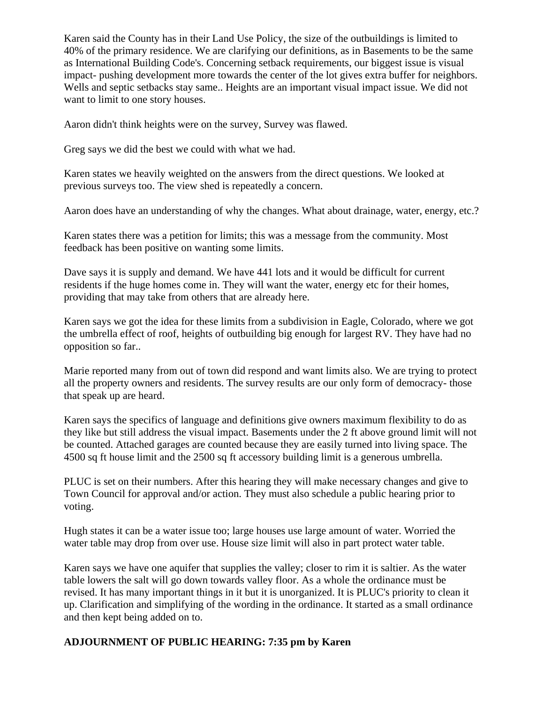Karen said the County has in their Land Use Policy, the size of the outbuildings is limited to 40% of the primary residence. We are clarifying our definitions, as in Basements to be the same as International Building Code's. Concerning setback requirements, our biggest issue is visual impact- pushing development more towards the center of the lot gives extra buffer for neighbors. Wells and septic setbacks stay same.. Heights are an important visual impact issue. We did not want to limit to one story houses.

Aaron didn't think heights were on the survey, Survey was flawed.

Greg says we did the best we could with what we had.

Karen states we heavily weighted on the answers from the direct questions. We looked at previous surveys too. The view shed is repeatedly a concern.

Aaron does have an understanding of why the changes. What about drainage, water, energy, etc.?

Karen states there was a petition for limits; this was a message from the community. Most feedback has been positive on wanting some limits.

Dave says it is supply and demand. We have 441 lots and it would be difficult for current residents if the huge homes come in. They will want the water, energy etc for their homes, providing that may take from others that are already here.

Karen says we got the idea for these limits from a subdivision in Eagle, Colorado, where we got the umbrella effect of roof, heights of outbuilding big enough for largest RV. They have had no opposition so far..

Marie reported many from out of town did respond and want limits also. We are trying to protect all the property owners and residents. The survey results are our only form of democracy- those that speak up are heard.

Karen says the specifics of language and definitions give owners maximum flexibility to do as they like but still address the visual impact. Basements under the 2 ft above ground limit will not be counted. Attached garages are counted because they are easily turned into living space. The 4500 sq ft house limit and the 2500 sq ft accessory building limit is a generous umbrella.

PLUC is set on their numbers. After this hearing they will make necessary changes and give to Town Council for approval and/or action. They must also schedule a public hearing prior to voting.

Hugh states it can be a water issue too; large houses use large amount of water. Worried the water table may drop from over use. House size limit will also in part protect water table.

Karen says we have one aquifer that supplies the valley; closer to rim it is saltier. As the water table lowers the salt will go down towards valley floor. As a whole the ordinance must be revised. It has many important things in it but it is unorganized. It is PLUC's priority to clean it up. Clarification and simplifying of the wording in the ordinance. It started as a small ordinance and then kept being added on to.

### **ADJOURNMENT OF PUBLIC HEARING: 7:35 pm by Karen**